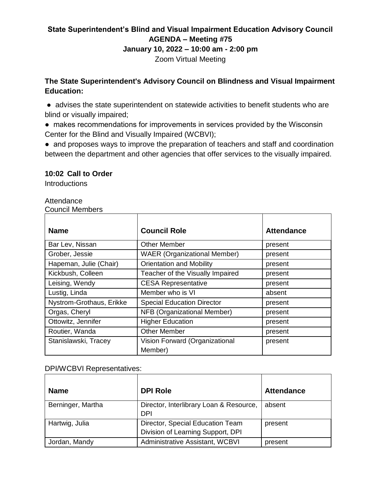# **State Superintendent's Blind and Visual Impairment Education Advisory Council AGENDA – Meeting #75**

#### **January 10, 2022 – 10:00 am - 2:00 pm**

Zoom Virtual Meeting

## **The State Superintendent's Advisory Council on Blindness and Visual Impairment Education:**

- advises the state superintendent on statewide activities to benefit students who are blind or visually impaired;
- makes recommendations for improvements in services provided by the Wisconsin Center for the Blind and Visually Impaired (WCBVI);
- and proposes ways to improve the preparation of teachers and staff and coordination between the department and other agencies that offer services to the visually impaired.

### **10:02 Call to Order**

**Introductions** 

#### Attendance

#### Council Members

| <b>Name</b>              | <b>Council Role</b>                       | <b>Attendance</b> |
|--------------------------|-------------------------------------------|-------------------|
| Bar Lev, Nissan          | <b>Other Member</b>                       | present           |
| Grober, Jessie           | <b>WAER (Organizational Member)</b>       | present           |
| Hapeman, Julie (Chair)   | <b>Orientation and Mobility</b>           | present           |
| Kickbush, Colleen        | Teacher of the Visually Impaired          | present           |
| Leising, Wendy           | <b>CESA Representative</b>                | present           |
| Lustig, Linda            | Member who is VI                          | absent            |
| Nystrom-Grothaus, Erikke | <b>Special Education Director</b>         | present           |
| Orgas, Cheryl            | NFB (Organizational Member)               | present           |
| Ottowitz, Jennifer       | <b>Higher Education</b>                   | present           |
| Routier, Wanda           | <b>Other Member</b>                       | present           |
| Stanislawski, Tracey     | Vision Forward (Organizational<br>Member) | present           |

#### DPI/WCBVI Representatives:

| <b>Name</b>       | <b>DPI Role</b>                                                       | <b>Attendance</b> |
|-------------------|-----------------------------------------------------------------------|-------------------|
| Berninger, Martha | Director, Interlibrary Loan & Resource,<br><b>DPI</b>                 | absent            |
| Hartwig, Julia    | Director, Special Education Team<br>Division of Learning Support, DPI | present           |
| Jordan, Mandy     | Administrative Assistant, WCBVI                                       | present           |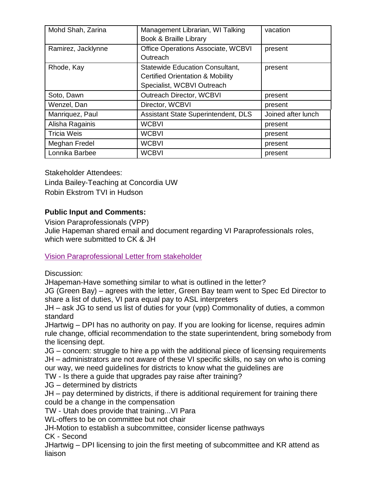| Mohd Shah, Zarina  | Management Librarian, WI Talking<br>Book & Braille Library                                                          | vacation           |
|--------------------|---------------------------------------------------------------------------------------------------------------------|--------------------|
| Ramirez, Jacklynne | Office Operations Associate, WCBVI<br>Outreach                                                                      | present            |
| Rhode, Kay         | <b>Statewide Education Consultant,</b><br><b>Certified Orientation &amp; Mobility</b><br>Specialist, WCBVI Outreach | present            |
| Soto, Dawn         | <b>Outreach Director, WCBVI</b>                                                                                     | present            |
| Wenzel, Dan        | Director, WCBVI                                                                                                     | present            |
| Manriquez, Paul    | Assistant State Superintendent, DLS                                                                                 | Joined after lunch |
| Alisha Ragainis    | <b>WCBVI</b>                                                                                                        | present            |
| <b>Tricia Weis</b> | <b>WCBVI</b>                                                                                                        | present            |
| Meghan Fredel      | <b>WCBVI</b>                                                                                                        | present            |
| Lonnika Barbee     | <b>WCBVI</b>                                                                                                        | present            |

Stakeholder Attendees: Linda Bailey-Teaching at Concordia UW Robin Ekstrom TVI in Hudson

## **Public Input and Comments:**

Vision Paraprofessionals (VPP)

Julie Hapeman shared email and document regarding VI Paraprofessionals roles, which were submitted to CK & JH

[Vision Paraprofessional](https://wcbvidpi-my.sharepoint.com/:w:/g/personal/jacklynne_ramirez_wcbvi_k12_wi_us/EWpV8y2uuhBGum1jTH61F6cBqtWZY-3gA24PfalJ-Y9sXQ?e=mA87zb) Letter from stakeholder

Discussion:

JHapeman-Have something similar to what is outlined in the letter?

JG (Green Bay) – agrees with the letter, Green Bay team went to Spec Ed Director to share a list of duties, VI para equal pay to ASL interpreters

JH – ask JG to send us list of duties for your (vpp) Commonality of duties, a common standard

JHartwig – DPI has no authority on pay. If you are looking for license, requires admin rule change, official recommendation to the state superintendent, bring somebody from the licensing dept.

JG – concern: struggle to hire a pp with the additional piece of licensing requirements JH – administrators are not aware of these VI specific skills, no say on who is coming our way, we need guidelines for districts to know what the guidelines are

TW - Is there a guide that upgrades pay raise after training?

JG – determined by districts

JH – pay determined by districts, if there is additional requirement for training there could be a change in the compensation

TW - Utah does provide that training...VI Para

WL-offers to be on committee but not chair

JH-Motion to establish a subcommittee, consider license pathways

CK - Second

JHartwig – DPI licensing to join the first meeting of subcommittee and KR attend as liaison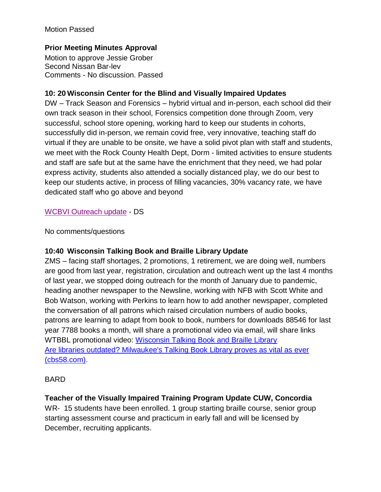### Motion Passed

## **Prior Meeting Minutes Approval**

Motion to approve Jessie Grober Second Nissan Bar-lev Comments - No discussion. Passed

### **10: 20 Wisconsin Center for the Blind and Visually Impaired Updates**

DW – Track Season and Forensics – hybrid virtual and in-person, each school did their own track season in their school, Forensics competition done through Zoom, very successful, school store opening, working hard to keep our students in cohorts, successfully did in-person, we remain covid free, very innovative, teaching staff do virtual if they are unable to be onsite, we have a solid pivot plan with staff and students, we meet with the Rock County Health Dept, Dorm - limited activities to ensure students and staff are safe but at the same have the enrichment that they need, we had polar express activity, students also attended a socially distanced play, we do our best to keep our students active, in process of filling vacancies, 30% vacancy rate, we have dedicated staff who go above and beyond

#### [WCBVI Outreach update](https://wcbvidpi-my.sharepoint.com/:w:/g/personal/jacklynne_ramirez_wcbvi_k12_wi_us/EePS-ql29jVHizRZcbsqwzcBH5rNQ92_RjnvNZn0DB8s6A?e=p4w4a2) - DS

No comments/questions

#### **10:40 Wisconsin Talking Book and Braille Library Update**

ZMS – facing staff shortages, 2 promotions, 1 retirement, we are doing well, numbers are good from last year, registration, circulation and outreach went up the last 4 months of last year, we stopped doing outreach for the month of January due to pandemic, heading another newspaper to the Newsline, working with NFB with Scott White and Bob Watson, working with Perkins to learn how to add another newspaper, completed the conversation of all patrons which raised circulation numbers of audio books, patrons are learning to adapt from book to book, numbers for downloads 88546 for last year 7788 books a month, will share a promotional video via email, will share links WTBBL promotional video: [Wisconsin Talking Book and Braille Library](https://www.youtube.com/watch?v=ryvYEPQvFws) [Are libraries outdated? Milwaukee's Talking Book Library proves as vital as](https://nam10.safelinks.protection.outlook.com/?url=https%3A%2F%2Fcbs58.com%2Fnews%2Fare-libraries-a-thing-of-the-past-milwaukees-talking-book-library-proves-as-vital-as-ever&data=04%7C01%7CKay.Rhode%40wcbvi.k12.wi.us%7C4e6468ab1ba84d7a767108d9d45980d8%7C99feb2c4c40a4932afb5dfa68122d56f%7C1%7C0%7C637774303164815536%7CUnknown%7CTWFpbGZsb3d8eyJWIjoiMC4wLjAwMDAiLCJQIjoiV2luMzIiLCJBTiI6Ik1haWwiLCJXVCI6Mn0%3D%7C3000&sdata=5ospKVGism6KLvTsq1%2F%2FToJY3JdYKCR3wi84kt6Un9E%3D&reserved=0) ever [\(cbs58.com\).](https://nam10.safelinks.protection.outlook.com/?url=https%3A%2F%2Fcbs58.com%2Fnews%2Fare-libraries-a-thing-of-the-past-milwaukees-talking-book-library-proves-as-vital-as-ever&data=04%7C01%7CKay.Rhode%40wcbvi.k12.wi.us%7C4e6468ab1ba84d7a767108d9d45980d8%7C99feb2c4c40a4932afb5dfa68122d56f%7C1%7C0%7C637774303164815536%7CUnknown%7CTWFpbGZsb3d8eyJWIjoiMC4wLjAwMDAiLCJQIjoiV2luMzIiLCJBTiI6Ik1haWwiLCJXVCI6Mn0%3D%7C3000&sdata=5ospKVGism6KLvTsq1%2F%2FToJY3JdYKCR3wi84kt6Un9E%3D&reserved=0)

#### BARD

## **Teacher of the Visually Impaired Training Program Update CUW, Concordia**

WR- 15 students have been enrolled. 1 group starting braille course, senior group starting assessment course and practicum in early fall and will be licensed by December, recruiting applicants.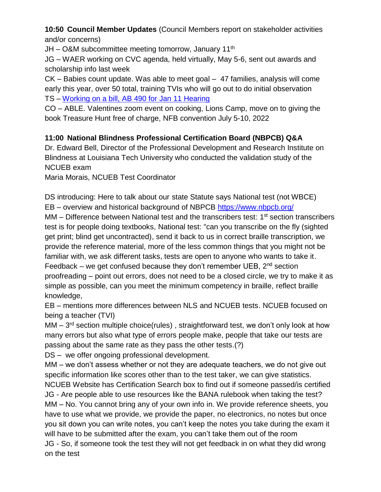**10:50 Council Member Updates** (Council Members report on stakeholder activities and/or concerns)

 $JH - O&M$  subcommittee meeting tomorrow, January 11<sup>th</sup>

JG – WAER working on CVC agenda, held virtually, May 5-6, sent out awards and scholarship info last week

CK – Babies count update. Was able to meet goal – 47 families, analysis will come early this year, over 50 total, training TVIs who will go out to do initial observation TS – Working [on a bill, AB 490 for](https://vision-forward.org/news/support-a-state-registry-and-help-connect-children-with-vision-loss-to-services/#maincontent) Jan 11 Hearing

CO – ABLE. Valentines zoom event on cooking, Lions Camp, move on to giving the book Treasure Hunt free of charge, NFB convention July 5-10, 2022

# **11:00 National Blindness Professional Certification Board (NBPCB) Q&A**

Dr. Edward Bell, Director of the Professional Development and Research Institute on Blindness at Louisiana Tech University who conducted the validation study of the NCUEB exam

Maria Morais, NCUEB Test Coordinator

DS introducing: Here to talk about our state Statute says National test (not WBCE) EB – overview and historical background of NBPCB <https://www.nbpcb.org/>

MM – Difference between National test and the transcribers test: 1<sup>st</sup> section transcribers test is for people doing textbooks, National test: "can you transcribe on the fly (sighted get print; blind get uncontracted), send it back to us in correct braille transcription, we provide the reference material, more of the less common things that you might not be familiar with, we ask different tasks, tests are open to anyone who wants to take it. Feedback – we get confused because they don't remember UEB,  $2<sup>nd</sup>$  section proofreading – point out errors, does not need to be a closed circle, we try to make it as simple as possible, can you meet the minimum competency in braille, reflect braille knowledge,

EB – mentions more differences between NLS and NCUEB tests. NCUEB focused on being a teacher (TVI)

MM – 3<sup>rd</sup> section multiple choice(rules), straightforward test, we don't only look at how many errors but also what type of errors people make, people that take our tests are passing about the same rate as they pass the other tests.(?)

DS – we offer ongoing professional development.

MM – we don't assess whether or not they are adequate teachers, we do not give out specific information like scores other than to the test taker, we can give statistics.

NCUEB Website has Certification Search box to find out if someone passed/is certified JG - Are people able to use resources like the BANA rulebook when taking the test? MM – No. You cannot bring any of your own info in. We provide reference sheets, you have to use what we provide, we provide the paper, no electronics, no notes but once you sit down you can write notes, you can't keep the notes you take during the exam it will have to be submitted after the exam, you can't take them out of the room JG - So, if someone took the test they will not get feedback in on what they did wrong on the test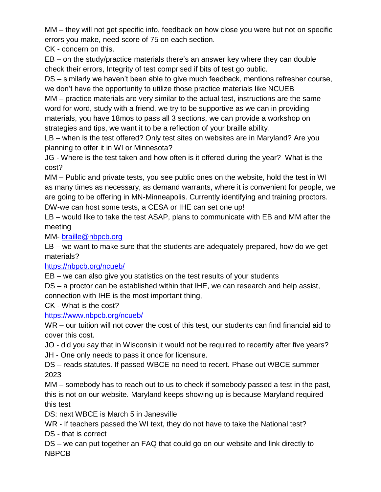MM – they will not get specific info, feedback on how close you were but not on specific errors you make, need score of 75 on each section.

CK - concern on this.

EB – on the study/practice materials there's an answer key where they can double check their errors, Integrity of test comprised if bits of test go public.

DS – similarly we haven't been able to give much feedback, mentions refresher course, we don't have the opportunity to utilize those practice materials like NCUEB

MM – practice materials are very similar to the actual test, instructions are the same word for word, study with a friend, we try to be supportive as we can in providing materials, you have 18mos to pass all 3 sections, we can provide a workshop on strategies and tips, we want it to be a reflection of your braille ability.

LB – when is the test offered? Only test sites on websites are in Maryland? Are you planning to offer it in WI or Minnesota?

JG - Where is the test taken and how often is it offered during the year? What is the cost?

MM – Public and private tests, you see public ones on the website, hold the test in WI as many times as necessary, as demand warrants, where it is convenient for people, we are going to be offering in MN-Minneapolis. Currently identifying and training proctors. DW-we can host some tests, a CESA or IHE can set one up!

LB – would like to take the test ASAP, plans to communicate with EB and MM after the meeting

MM- [braille@nbpcb.org](mailto:braille@nbpcb.org)

LB – we want to make sure that the students are adequately prepared, how do we get materials?

<https://nbpcb.org/ncueb/>

EB – we can also give you statistics on the test results of your students

DS – a proctor can be established within that IHE, we can research and help assist, connection with IHE is the most important thing,

CK - What is the cost?

# <https://www.nbpcb.org/ncueb/>

WR – our tuition will not cover the cost of this test, our students can find financial aid to cover this cost.

JO - did you say that in Wisconsin it would not be required to recertify after five years? JH - One only needs to pass it once for licensure.

DS – reads statutes. If passed WBCE no need to recert. Phase out WBCE summer 2023

MM – somebody has to reach out to us to check if somebody passed a test in the past, this is not on our website. Maryland keeps showing up is because Maryland required this test

DS: next WBCE is March 5 in Janesville

WR - If teachers passed the WI text, they do not have to take the National test?

DS - that is correct

DS – we can put together an FAQ that could go on our website and link directly to NBPCB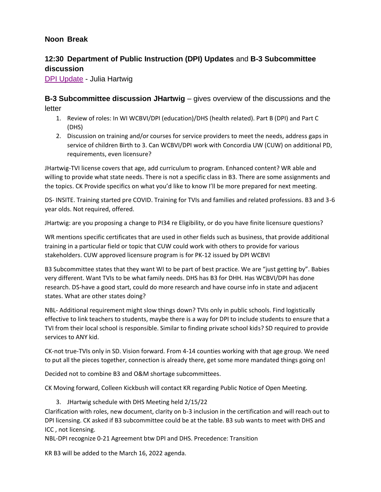### **Noon Break**

## **12:30 Department of Public Instruction (DPI) Updates** and **B-3 Subcommittee discussion**

[DPI Update](https://wcbvidpi-my.sharepoint.com/:w:/g/personal/jacklynne_ramirez_wcbvi_k12_wi_us/EVxHT0Gb-cJAp_BoBFSFXS0Bs2LOgymm7j1_QQFDef09Ng?e=RatflS) - Julia Hartwig

**B-3 Subcommittee discussion JHartwig** – gives overview of the discussions and the letter

- 1. Review of roles: In WI WCBVI/DPI (education)/DHS (health related). Part B (DPI) and Part C (DHS)
- 2. Discussion on training and/or courses for service providers to meet the needs, address gaps in service of children Birth to 3. Can WCBVI/DPI work with Concordia UW (CUW) on additional PD, requirements, even licensure?

JHartwig-TVI license covers that age, add curriculum to program. Enhanced content? WR able and willing to provide what state needs. There is not a specific class in B3. There are some assignments and the topics. CK Provide specifics on what you'd like to know I'll be more prepared for next meeting.

DS- INSITE. Training started pre COVID. Training for TVIs and families and related professions. B3 and 3-6 year olds. Not required, offered.

JHartwig: are you proposing a change to PI34 re Eligibility, or do you have finite licensure questions?

WR mentions specific certificates that are used in other fields such as business, that provide additional training in a particular field or topic that CUW could work with others to provide for various stakeholders. CUW approved licensure program is for PK-12 issued by DPI WCBVI

B3 Subcommittee states that they want WI to be part of best practice. We are "just getting by". Babies very different. Want TVIs to be what family needs. DHS has B3 for DHH. Has WCBVI/DPI has done research. DS-have a good start, could do more research and have course info in state and adjacent states. What are other states doing?

NBL- Additional requirement might slow things down? TVIs only in public schools. Find logistically effective to link teachers to students, maybe there is a way for DPI to include students to ensure that a TVI from their local school is responsible. Similar to finding private school kids? SD required to provide services to ANY kid.

CK-not true-TVIs only in SD. Vision forward. From 4-14 counties working with that age group. We need to put all the pieces together, connection is already there, get some more mandated things going on!

Decided not to combine B3 and O&M shortage subcommittees.

CK Moving forward, Colleen Kickbush will contact KR regarding Public Notice of Open Meeting.

3. JHartwig schedule with DHS Meeting held 2/15/22

Clarification with roles, new document, clarity on b-3 inclusion in the certification and will reach out to DPI licensing. CK asked if B3 subcommittee could be at the table. B3 sub wants to meet with DHS and ICC , not licensing.

NBL-DPI recognize 0-21 Agreement btw DPI and DHS. Precedence: Transition

KR B3 will be added to the March 16, 2022 agenda.